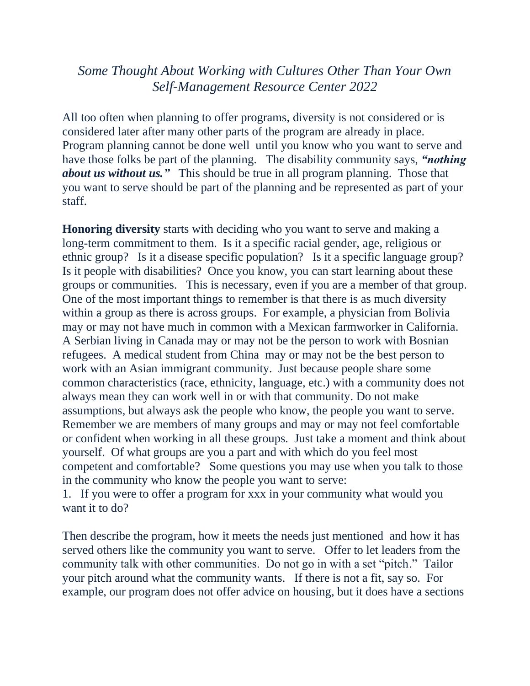## *Some Thought About Working with Cultures Other Than Your Own Self-Management Resource Center 2022*

All too often when planning to offer programs, diversity is not considered or is considered later after many other parts of the program are already in place. Program planning cannot be done well until you know who you want to serve and have those folks be part of the planning. The disability community says, *"nothing about us without us."* This should be true in all program planning. Those that you want to serve should be part of the planning and be represented as part of your staff.

**Honoring diversity** starts with deciding who you want to serve and making a long-term commitment to them. Is it a specific racial gender, age, religious or ethnic group? Is it a disease specific population? Is it a specific language group? Is it people with disabilities? Once you know, you can start learning about these groups or communities. This is necessary, even if you are a member of that group. One of the most important things to remember is that there is as much diversity within a group as there is across groups. For example, a physician from Bolivia may or may not have much in common with a Mexican farmworker in California. A Serbian living in Canada may or may not be the person to work with Bosnian refugees. A medical student from China may or may not be the best person to work with an Asian immigrant community. Just because people share some common characteristics (race, ethnicity, language, etc.) with a community does not always mean they can work well in or with that community. Do not make assumptions, but always ask the people who know, the people you want to serve. Remember we are members of many groups and may or may not feel comfortable or confident when working in all these groups. Just take a moment and think about yourself. Of what groups are you a part and with which do you feel most competent and comfortable? Some questions you may use when you talk to those in the community who know the people you want to serve:

1. If you were to offer a program for xxx in your community what would you want it to do?

Then describe the program, how it meets the needs just mentioned and how it has served others like the community you want to serve. Offer to let leaders from the community talk with other communities. Do not go in with a set "pitch." Tailor your pitch around what the community wants. If there is not a fit, say so. For example, our program does not offer advice on housing, but it does have a sections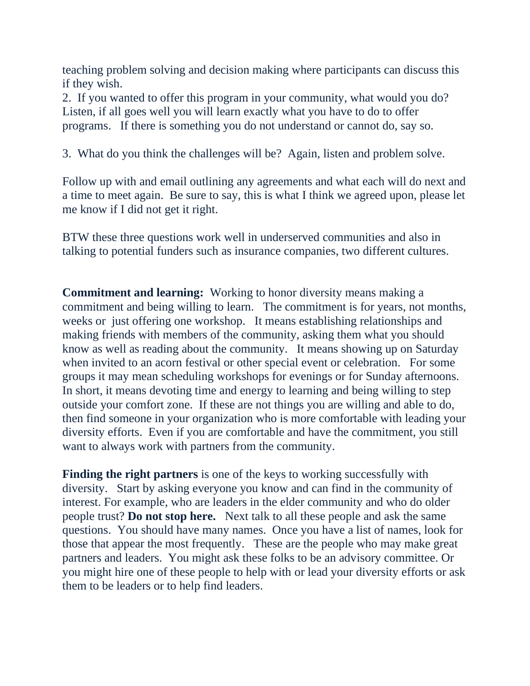teaching problem solving and decision making where participants can discuss this if they wish.

2. If you wanted to offer this program in your community, what would you do? Listen, if all goes well you will learn exactly what you have to do to offer programs. If there is something you do not understand or cannot do, say so.

3. What do you think the challenges will be? Again, listen and problem solve.

Follow up with and email outlining any agreements and what each will do next and a time to meet again. Be sure to say, this is what I think we agreed upon, please let me know if I did not get it right.

BTW these three questions work well in underserved communities and also in talking to potential funders such as insurance companies, two different cultures.

**Commitment and learning:** Working to honor diversity means making a commitment and being willing to learn. The commitment is for years, not months, weeks or just offering one workshop. It means establishing relationships and making friends with members of the community, asking them what you should know as well as reading about the community. It means showing up on Saturday when invited to an acorn festival or other special event or celebration. For some groups it may mean scheduling workshops for evenings or for Sunday afternoons. In short, it means devoting time and energy to learning and being willing to step outside your comfort zone. If these are not things you are willing and able to do, then find someone in your organization who is more comfortable with leading your diversity efforts. Even if you are comfortable and have the commitment, you still want to always work with partners from the community.

**Finding the right partners** is one of the keys to working successfully with diversity. Start by asking everyone you know and can find in the community of interest. For example, who are leaders in the elder community and who do older people trust? **Do not stop here.** Next talk to all these people and ask the same questions. You should have many names. Once you have a list of names, look for those that appear the most frequently. These are the people who may make great partners and leaders. You might ask these folks to be an advisory committee. Or you might hire one of these people to help with or lead your diversity efforts or ask them to be leaders or to help find leaders.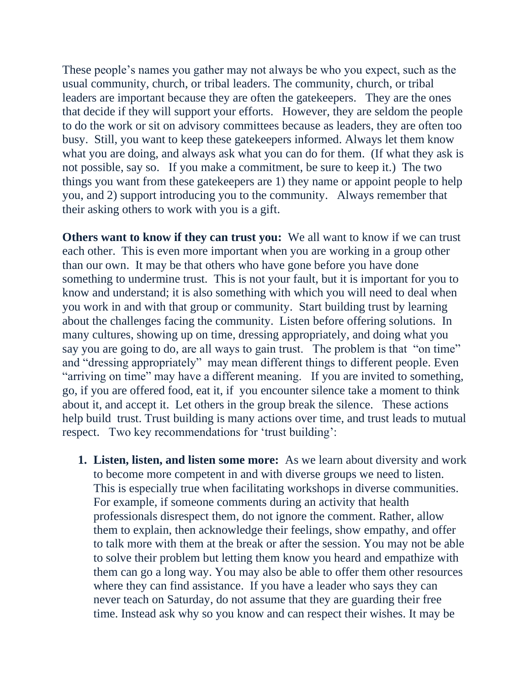These people's names you gather may not always be who you expect, such as the usual community, church, or tribal leaders. The community, church, or tribal leaders are important because they are often the gatekeepers. They are the ones that decide if they will support your efforts. However, they are seldom the people to do the work or sit on advisory committees because as leaders, they are often too busy. Still, you want to keep these gatekeepers informed. Always let them know what you are doing, and always ask what you can do for them. (If what they ask is not possible, say so. If you make a commitment, be sure to keep it.) The two things you want from these gatekeepers are 1) they name or appoint people to help you, and 2) support introducing you to the community. Always remember that their asking others to work with you is a gift.

**Others want to know if they can trust you:** We all want to know if we can trust each other. This is even more important when you are working in a group other than our own. It may be that others who have gone before you have done something to undermine trust. This is not your fault, but it is important for you to know and understand; it is also something with which you will need to deal when you work in and with that group or community. Start building trust by learning about the challenges facing the community. Listen before offering solutions. In many cultures, showing up on time, dressing appropriately, and doing what you say you are going to do, are all ways to gain trust. The problem is that "on time" and "dressing appropriately" may mean different things to different people. Even "arriving on time" may have a different meaning. If you are invited to something, go, if you are offered food, eat it, if you encounter silence take a moment to think about it, and accept it. Let others in the group break the silence. These actions help build trust. Trust building is many actions over time, and trust leads to mutual respect. Two key recommendations for 'trust building':

**1. Listen, listen, and listen some more:** As we learn about diversity and work to become more competent in and with diverse groups we need to listen. This is especially true when facilitating workshops in diverse communities. For example, if someone comments during an activity that health professionals disrespect them, do not ignore the comment. Rather, allow them to explain, then acknowledge their feelings, show empathy, and offer to talk more with them at the break or after the session. You may not be able to solve their problem but letting them know you heard and empathize with them can go a long way. You may also be able to offer them other resources where they can find assistance. If you have a leader who says they can never teach on Saturday, do not assume that they are guarding their free time. Instead ask why so you know and can respect their wishes. It may be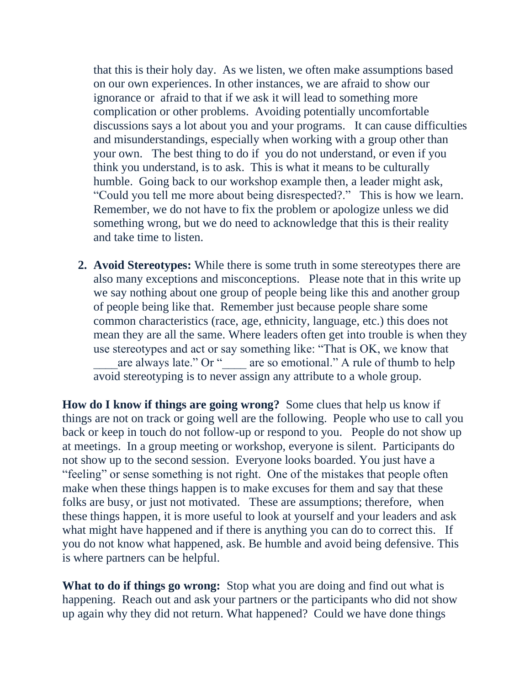that this is their holy day. As we listen, we often make assumptions based on our own experiences. In other instances, we are afraid to show our ignorance or afraid to that if we ask it will lead to something more complication or other problems. Avoiding potentially uncomfortable discussions says a lot about you and your programs. It can cause difficulties and misunderstandings, especially when working with a group other than your own. The best thing to do if you do not understand, or even if you think you understand, is to ask. This is what it means to be culturally humble. Going back to our workshop example then, a leader might ask, "Could you tell me more about being disrespected?." This is how we learn. Remember, we do not have to fix the problem or apologize unless we did something wrong, but we do need to acknowledge that this is their reality and take time to listen.

**2. Avoid Stereotypes:** While there is some truth in some stereotypes there are also many exceptions and misconceptions. Please note that in this write up we say nothing about one group of people being like this and another group of people being like that. Remember just because people share some common characteristics (race, age, ethnicity, language, etc.) this does not mean they are all the same. Where leaders often get into trouble is when they use stereotypes and act or say something like: "That is OK, we know that are always late." Or " are so emotional." A rule of thumb to help avoid stereotyping is to never assign any attribute to a whole group.

**How do I know if things are going wrong?** Some clues that help us know if things are not on track or going well are the following. People who use to call you back or keep in touch do not follow-up or respond to you. People do not show up at meetings. In a group meeting or workshop, everyone is silent. Participants do not show up to the second session. Everyone looks boarded. You just have a "feeling" or sense something is not right. One of the mistakes that people often make when these things happen is to make excuses for them and say that these folks are busy, or just not motivated. These are assumptions; therefore, when these things happen, it is more useful to look at yourself and your leaders and ask what might have happened and if there is anything you can do to correct this. If you do not know what happened, ask. Be humble and avoid being defensive. This is where partners can be helpful.

**What to do if things go wrong:** Stop what you are doing and find out what is happening. Reach out and ask your partners or the participants who did not show up again why they did not return. What happened? Could we have done things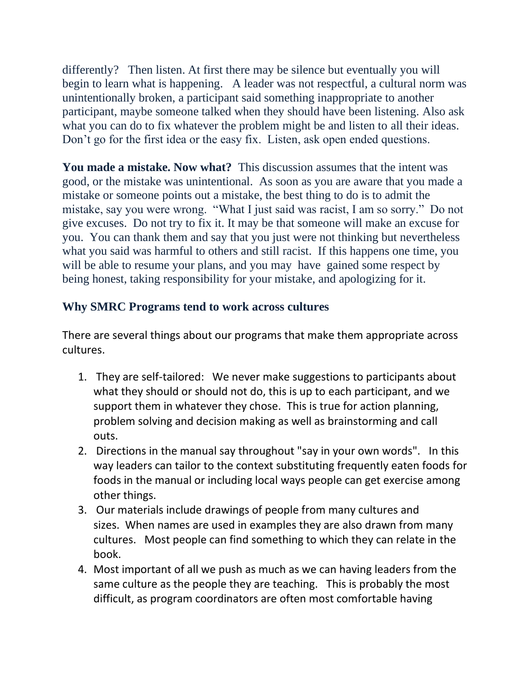differently? Then listen. At first there may be silence but eventually you will begin to learn what is happening. A leader was not respectful, a cultural norm was unintentionally broken, a participant said something inappropriate to another participant, maybe someone talked when they should have been listening. Also ask what you can do to fix whatever the problem might be and listen to all their ideas. Don't go for the first idea or the easy fix. Listen, ask open ended questions.

**You made a mistake. Now what?** This discussion assumes that the intent was good, or the mistake was unintentional. As soon as you are aware that you made a mistake or someone points out a mistake, the best thing to do is to admit the mistake, say you were wrong. "What I just said was racist, I am so sorry." Do not give excuses. Do not try to fix it. It may be that someone will make an excuse for you. You can thank them and say that you just were not thinking but nevertheless what you said was harmful to others and still racist. If this happens one time, you will be able to resume your plans, and you may have gained some respect by being honest, taking responsibility for your mistake, and apologizing for it.

## **Why SMRC Programs tend to work across cultures**

There are several things about our programs that make them appropriate across cultures.

- 1. They are self-tailored: We never make suggestions to participants about what they should or should not do, this is up to each participant, and we support them in whatever they chose. This is true for action planning, problem solving and decision making as well as brainstorming and call outs.
- 2. Directions in the manual say throughout "say in your own words". In this way leaders can tailor to the context substituting frequently eaten foods for foods in the manual or including local ways people can get exercise among other things.
- 3. Our materials include drawings of people from many cultures and sizes. When names are used in examples they are also drawn from many cultures. Most people can find something to which they can relate in the book.
- 4. Most important of all we push as much as we can having leaders from the same culture as the people they are teaching. This is probably the most difficult, as program coordinators are often most comfortable having